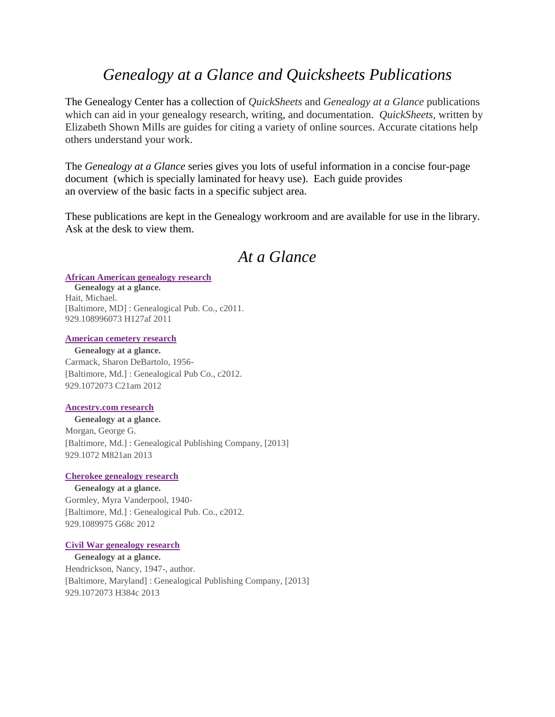# *Genealogy at a Glance and Quicksheets Publications*

The Genealogy Center has a collection of *QuickSheets* and *Genealogy at a Glance* publications which can aid in your genealogy research, writing, and documentation. *QuickSheets*, written by Elizabeth Shown Mills are guides for citing a variety of online sources. Accurate citations help others understand your work.

The *Genealogy at a Glance* series gives you lots of useful information in a concise four-page document (which is specially laminated for heavy use). Each guide provides an overview of the basic facts in a specific subject area.

These publications are kept in the Genealogy workroom and are available for use in the library. Ask at the desk to view them.

# *At a Glance*

### **[African American genealogy research](http://opac.tulsalibrary.org/search~S25?/tGenealogy+at+a+glance/tgenealogy+at+a+glance/1%2C1%2C26%2CB/frameset&FF=tgenealogy+at+a+glance&1%2C%2C26/indexsort=-)**

**Genealogy at a glance.** Hait, Michael. [Baltimore, MD] : Genealogical Pub. Co., c2011. 929.108996073 H127af 2011

## **[American cemetery research](http://opac.tulsalibrary.org/search~S25?/tGenealogy+at+a+glance/tgenealogy+at+a+glance/1%2C1%2C26%2CB/frameset&FF=tgenealogy+at+a+glance&2%2C%2C26/indexsort=-)**

**Genealogy at a glance.** Carmack, Sharon DeBartolo, 1956- [Baltimore, Md.] : Genealogical Pub Co., c2012. 929.1072073 C21am 2012

# **[Ancestry.com research](http://opac.tulsalibrary.org/search~S25?/tGenealogy+at+a+glance/tgenealogy+at+a+glance/1%2C1%2C26%2CB/frameset&FF=tgenealogy+at+a+glance&3%2C%2C26/indexsort=-)**

**Genealogy at a glance.** Morgan, George G. [Baltimore, Md.] : Genealogical Publishing Company, [2013] 929.1072 M821an 2013

# **[Cherokee genealogy research](http://opac.tulsalibrary.org/search~S25?/tGenealogy+at+a+glance/tgenealogy+at+a+glance/1%2C1%2C26%2CB/frameset&FF=tgenealogy+at+a+glance&4%2C%2C26/indexsort=-)**

**Genealogy at a glance.** Gormley, Myra Vanderpool, 1940- [Baltimore, Md.] : Genealogical Pub. Co., c2012. 929.1089975 G68c 2012

# **[Civil War genealogy research](http://opac.tulsalibrary.org/search~S27?/tGenealogy+at+a+glance/tgenealogy+at+a+glance/1%2C1%2C26%2CB/frameset&FF=tgenealogy+at+a+glance&5%2C%2C26)**

**Genealogy at a glance.** Hendrickson, Nancy, 1947-, author. [Baltimore, Maryland] : Genealogical Publishing Company, [2013] 929.1072073 H384c 2013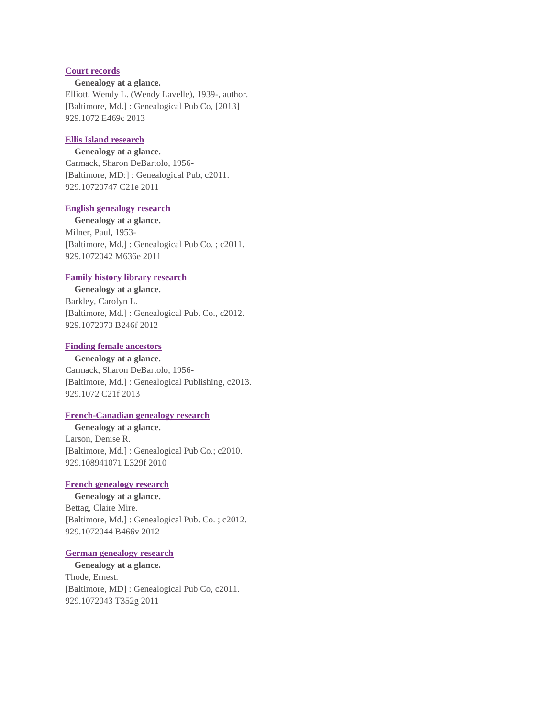## **Court [records](http://opac.tulsalibrary.org/search~S27?/tGenealogy+at+a+glance/tgenealogy+at+a+glance/1%2C1%2C26%2CB/frameset&FF=tgenealogy+at+a+glance&6%2C%2C26)**

#### **Genealogy at a glance.**

Elliott, Wendy L. (Wendy Lavelle), 1939-, author. [Baltimore, Md.] : Genealogical Pub Co, [2013] 929.1072 E469c 2013

# **[Ellis Island research](http://opac.tulsalibrary.org/search~S27?/tGenealogy+at+a+glance/tgenealogy+at+a+glance/1%2C1%2C26%2CB/frameset&FF=tgenealogy+at+a+glance&7%2C%2C26)**

#### **Genealogy at a glance.**

Carmack, Sharon DeBartolo, 1956- [Baltimore, MD:] : Genealogical Pub, c2011. 929.10720747 C21e 2011

# **[English genealogy research](http://opac.tulsalibrary.org/search~S27?/tGenealogy+at+a+glance/tgenealogy+at+a+glance/1%2C1%2C26%2CB/frameset&FF=tgenealogy+at+a+glance&8%2C%2C26)**

**Genealogy at a glance.** Milner, Paul, 1953- [Baltimore, Md.] : Genealogical Pub Co. ; c2011. 929.1072042 M636e 2011

### **[Family history library research](http://opac.tulsalibrary.org/search~S27?/tGenealogy+at+a+glance/tgenealogy+at+a+glance/1%2C1%2C26%2CB/frameset&FF=tgenealogy+at+a+glance&9%2C%2C26)**

**Genealogy at a glance.** Barkley, Carolyn L. [Baltimore, Md.] : Genealogical Pub. Co., c2012. 929.1072073 B246f 2012

#### **[Finding female ancestors](http://opac.tulsalibrary.org/search~S27?/tGenealogy+at+a+glance/tgenealogy+at+a+glance/1%2C1%2C26%2CB/frameset&FF=tgenealogy+at+a+glance&10%2C%2C26)**

**Genealogy at a glance.** Carmack, Sharon DeBartolo, 1956- [Baltimore, Md.] : Genealogical Publishing, c2013. 929.1072 C21f 2013

### **[French-Canadian genealogy research](http://opac.tulsalibrary.org/search~S27?/tGenealogy+at+a+glance/tgenealogy+at+a+glance/1%2C1%2C26%2CB/frameset&FF=tgenealogy+at+a+glance&11%2C%2C26)**

**Genealogy at a glance.** Larson, Denise R. [Baltimore, Md.] : Genealogical Pub Co.; c2010. 929.108941071 L329f 2010

#### **[French genealogy research](http://opac.tulsalibrary.org/search~S27?/tGenealogy+at+a+glance/tgenealogy+at+a+glance/1%2C1%2C26%2CB/frameset&FF=tgenealogy+at+a+glance&12%2C%2C26)**

**Genealogy at a glance.** Bettag, Claire Mire. [Baltimore, Md.] : Genealogical Pub. Co. ; c2012. 929.1072044 B466v 2012

#### **[German genealogy research](http://opac.tulsalibrary.org/search~S27?/tGenealogy+at+a+glance/tgenealogy+at+a+glance/1%2C1%2C26%2CB/frameset&FF=tgenealogy+at+a+glance&13%2C%2C26)**

**Genealogy at a glance.** Thode, Ernest. [Baltimore, MD] : Genealogical Pub Co, c2011. 929.1072043 T352g 2011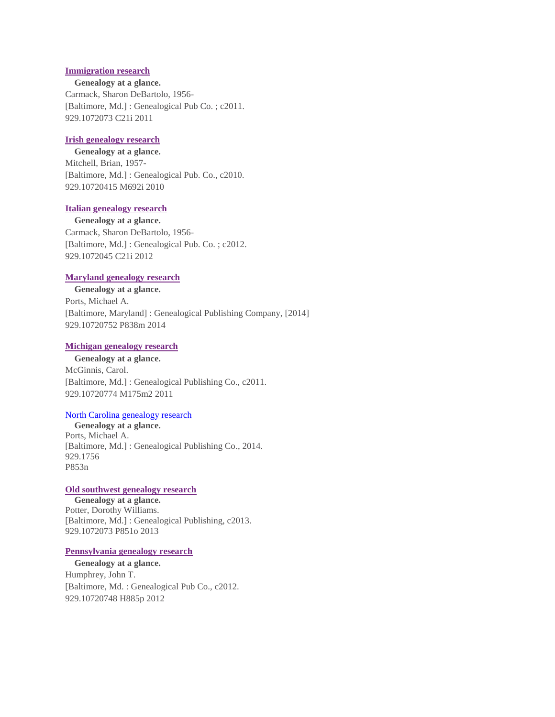## **[Immigration research](http://opac.tulsalibrary.org/search~S27?/tGenealogy+at+a+glance/tgenealogy+at+a+glance/1%2C1%2C26%2CB/frameset&FF=tgenealogy+at+a+glance&14%2C%2C26)**

**Genealogy at a glance.** Carmack, Sharon DeBartolo, 1956- [Baltimore, Md.] : Genealogical Pub Co. ; c2011. 929.1072073 C21i 2011

# **[Irish genealogy research](http://opac.tulsalibrary.org/search~S27?/tGenealogy+at+a+glance/tgenealogy+at+a+glance/1%2C1%2C26%2CB/frameset&FF=tgenealogy+at+a+glance&15%2C%2C26)**

**Genealogy at a glance.** Mitchell, Brian, 1957- [Baltimore, Md.] : Genealogical Pub. Co., c2010. 929.10720415 M692i 2010

# **[Italian genealogy research](http://opac.tulsalibrary.org/search~S27?/tGenealogy+at+a+glance/tgenealogy+at+a+glance/1%2C1%2C26%2CB/frameset&FF=tgenealogy+at+a+glance&16%2C%2C26)**

**Genealogy at a glance.** Carmack, Sharon DeBartolo, 1956- [Baltimore, Md.] : Genealogical Pub. Co. ; c2012. 929.1072045 C21i 2012

#### **[Maryland genealogy research](http://opac.tulsalibrary.org/search~S25?/tGenealogy+at+a+glance/tgenealogy+at+a+glance/1%2C1%2C26%2CB/frameset&FF=tgenealogy+at+a+glance&17%2C%2C26/indexsort=-)**

**Genealogy at a glance.** Ports, Michael A. [Baltimore, Maryland] : Genealogical Publishing Company, [2014] 929.10720752 P838m 2014

#### **[Michigan genealogy research](http://opac.tulsalibrary.org/search~S25?/tGenealogy+at+a+glance/tgenealogy+at+a+glance/1%2C1%2C26%2CB/frameset&FF=tgenealogy+at+a+glance&18%2C%2C26/indexsort=-)**

**Genealogy at a glance.** McGinnis, Carol. [Baltimore, Md.] : Genealogical Publishing Co., c2011. 929.10720774 M175m2 2011

## [North Carolina genealogy research](http://opac.tulsalibrary.org/search~S27?/c929.1756+P853n/c929.1756+p853+n/-3%2C-1%2C0%2CE/frameset&FF=c929.1756+p853+n&1%2C1%2C)

 **Genealogy at a glance.** Ports, Michael A. [Baltimore, Md.] : Genealogical Publishing Co., 2014. 929.1756 P853n

#### **[Old southwest genealogy research](http://opac.tulsalibrary.org/search~S25?/tGenealogy+at+a+glance/tgenealogy+at+a+glance/1%2C1%2C26%2CB/frameset&FF=tgenealogy+at+a+glance&19%2C%2C26/indexsort=-)**

**Genealogy at a glance.** Potter, Dorothy Williams. [Baltimore, Md.] : Genealogical Publishing, c2013. 929.1072073 P851o 2013

#### **[Pennsylvania genealogy research](http://opac.tulsalibrary.org/search~S25?/tGenealogy+at+a+glance/tgenealogy+at+a+glance/1%2C1%2C26%2CB/frameset&FF=tgenealogy+at+a+glance&20%2C%2C26/indexsort=-)**

**Genealogy at a glance.** Humphrey, John T. [Baltimore, Md. : Genealogical Pub Co., c2012. 929.10720748 H885p 2012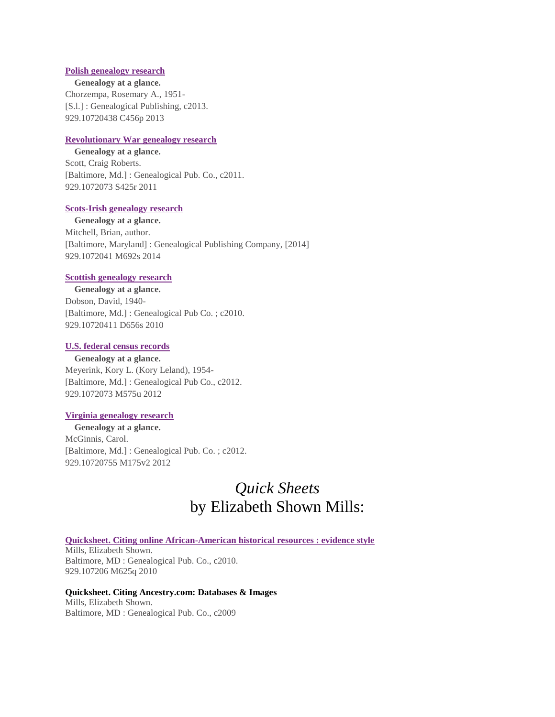## **[Polish genealogy research](http://opac.tulsalibrary.org/search~S25?/tGenealogy+at+a+glance/tgenealogy+at+a+glance/1%2C1%2C26%2CB/frameset&FF=tgenealogy+at+a+glance&21%2C%2C26/indexsort=-)**

**Genealogy at a glance.** Chorzempa, Rosemary A., 1951- [S.l.] : Genealogical Publishing, c2013. 929.10720438 C456p 2013

# **[Revolutionary War genealogy research](http://opac.tulsalibrary.org/search~S25?/tGenealogy+at+a+glance/tgenealogy+at+a+glance/1%2C1%2C26%2CB/frameset&FF=tgenealogy+at+a+glance&22%2C%2C26/indexsort=-)**

**Genealogy at a glance.** Scott, Craig Roberts. [Baltimore, Md.] : Genealogical Pub. Co., c2011. 929.1072073 S425r 2011

# **[Scots-Irish genealogy research](http://opac.tulsalibrary.org/search~S25?/tGenealogy+at+a+glance/tgenealogy+at+a+glance/1%2C1%2C26%2CB/frameset&FF=tgenealogy+at+a+glance&23%2C%2C26/indexsort=-)**

**Genealogy at a glance.** Mitchell, Brian, author. [Baltimore, Maryland] : Genealogical Publishing Company, [2014] 929.1072041 M692s 2014

#### **[Scottish genealogy research](http://opac.tulsalibrary.org/search~S25?/tGenealogy+at+a+glance/tgenealogy+at+a+glance/1%2C1%2C26%2CB/frameset&FF=tgenealogy+at+a+glance&24%2C%2C26/indexsort=-)**

**Genealogy at a glance.** Dobson, David, 1940- [Baltimore, Md.] : Genealogical Pub Co. ; c2010. 929.10720411 D656s 2010

## **[U.S. federal census records](http://opac.tulsalibrary.org/search~S25?/tGenealogy+at+a+glance/tgenealogy+at+a+glance/1%2C1%2C26%2CB/frameset&FF=tgenealogy+at+a+glance&25%2C%2C26/indexsort=-)**

**Genealogy at a glance.** Meyerink, Kory L. (Kory Leland), 1954- [Baltimore, Md.] : Genealogical Pub Co., c2012. 929.1072073 M575u 2012

# **[Virginia genealogy research](http://opac.tulsalibrary.org/search~S25?/tGenealogy+at+a+glance/tgenealogy+at+a+glance/1%2C1%2C26%2CB/frameset&FF=tgenealogy+at+a+glance&26%2C%2C26/indexsort=-)**

**Genealogy at a glance.** McGinnis, Carol. [Baltimore, Md.] : Genealogical Pub. Co. ; c2012. 929.10720755 M175v2 2012

# *Quick Sheets*  by Elizabeth Shown Mills:

**[Quicksheet. Citing online African-American historical resources : evidence style](http://opac.tulsalibrary.org/search~S27?/amills,+elizabeth/amills+elizabeth/1%2C3%2C18%2CB/frameset&FF=amills+elizabeth+shown&10%2C%2C16)** Mills, Elizabeth Shown. Baltimore, MD : Genealogical Pub. Co., c2010.

929.107206 M625q 2010

**Quicksheet. Citing Ancestry.com: Databases & Images** Mills, Elizabeth Shown. Baltimore, MD : Genealogical Pub. Co., c2009